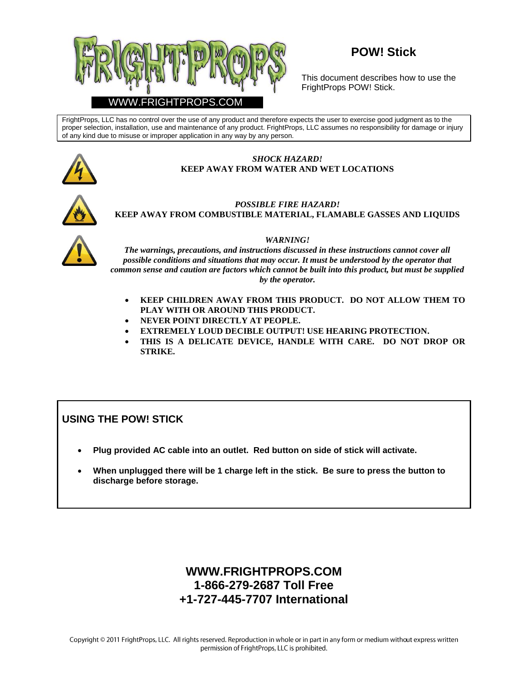

# **POW! Stick**

This document describes how to use the FrightProps POW! Stick.

FrightProps, LLC has no control over the use of any product and therefore expects the user to exercise good judgment as to the proper selection, installation, use and maintenance of any product. FrightProps, LLC assumes no responsibility for damage or injury of any kind due to misuse or improper application in any way by any person.



### *SHOCK HAZARD!* **KEEP AWAY FROM WATER AND WET LOCATIONS**



### *POSSIBLE FIRE HAZARD!* **KEEP AWAY FROM COMBUSTIBLE MATERIAL, FLAMABLE GASSES AND LIQUIDS**



#### *WARNING!*

*The warnings, precautions, and instructions discussed in these instructions cannot cover all possible conditions and situations that may occur. It must be understood by the operator that common sense and caution are factors which cannot be built into this product, but must be supplied by the operator.*

- **KEEP CHILDREN AWAY FROM THIS PRODUCT. DO NOT ALLOW THEM TO PLAY WITH OR AROUND THIS PRODUCT.**
- **NEVER POINT DIRECTLY AT PEOPLE.**
- **EXTREMELY LOUD DECIBLE OUTPUT! USE HEARING PROTECTION.**
- **THIS IS A DELICATE DEVICE, HANDLE WITH CARE. DO NOT DROP OR STRIKE.**

### **USING THE POW! STICK**

- **Plug provided AC cable into an outlet. Red button on side of stick will activate.**
- **When unplugged there will be 1 charge left in the stick. Be sure to press the button to discharge before storage.**

## **WWW.FRIGHTPROPS.COM 1-866-279-2687 Toll Free +1-727-445-7707 International**